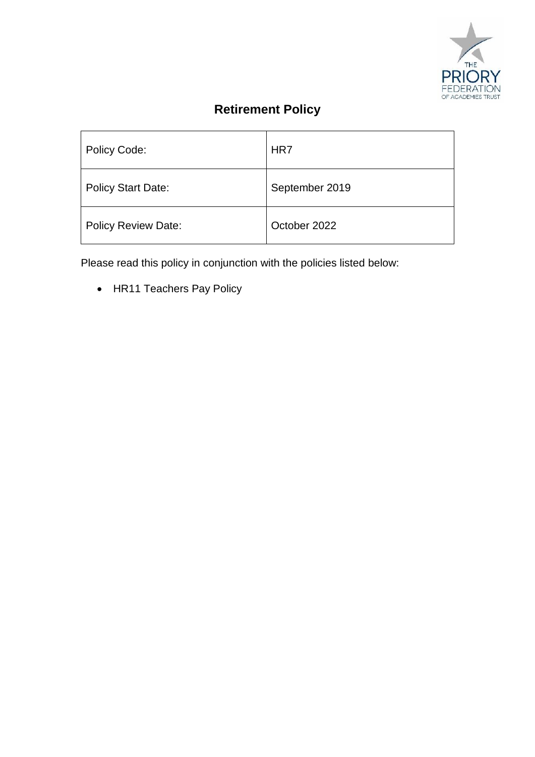

# **Retirement Policy**

| <b>Policy Code:</b>        | HR7            |
|----------------------------|----------------|
| <b>Policy Start Date:</b>  | September 2019 |
| <b>Policy Review Date:</b> | October 2022   |

Please read this policy in conjunction with the policies listed below:

• HR11 Teachers Pay Policy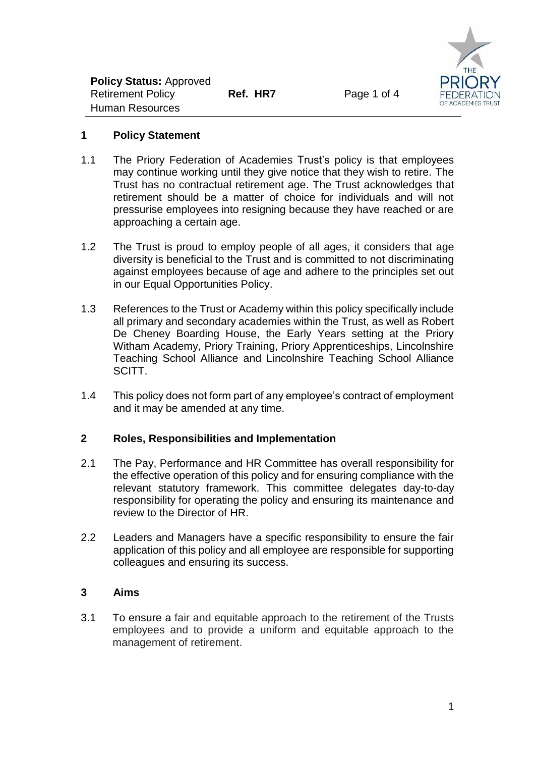

#### **1 Policy Statement**

- 1.1 The Priory Federation of Academies Trust's policy is that employees may continue working until they give notice that they wish to retire. The Trust has no contractual retirement age. The Trust acknowledges that retirement should be a matter of choice for individuals and will not pressurise employees into resigning because they have reached or are approaching a certain age.
- 1.2 The Trust is proud to employ people of all ages, it considers that age diversity is beneficial to the Trust and is committed to not discriminating against employees because of age and adhere to the principles set out in our Equal Opportunities Policy.
- 1.3 References to the Trust or Academy within this policy specifically include all primary and secondary academies within the Trust, as well as Robert De Cheney Boarding House, the Early Years setting at the Priory Witham Academy, Priory Training, Priory Apprenticeships, Lincolnshire Teaching School Alliance and Lincolnshire Teaching School Alliance SCITT.
- 1.4 This policy does not form part of any employee's contract of employment and it may be amended at any time.

## **2 Roles, Responsibilities and Implementation**

- 2.1 The Pay, Performance and HR Committee has overall responsibility for the effective operation of this policy and for ensuring compliance with the relevant statutory framework. This committee delegates day-to-day responsibility for operating the policy and ensuring its maintenance and review to the Director of HR.
- 2.2 Leaders and Managers have a specific responsibility to ensure the fair application of this policy and all employee are responsible for supporting colleagues and ensuring its success.

#### **3 Aims**

3.1 To ensure a fair and equitable approach to the retirement of the Trusts employees and to provide a uniform and equitable approach to the management of retirement.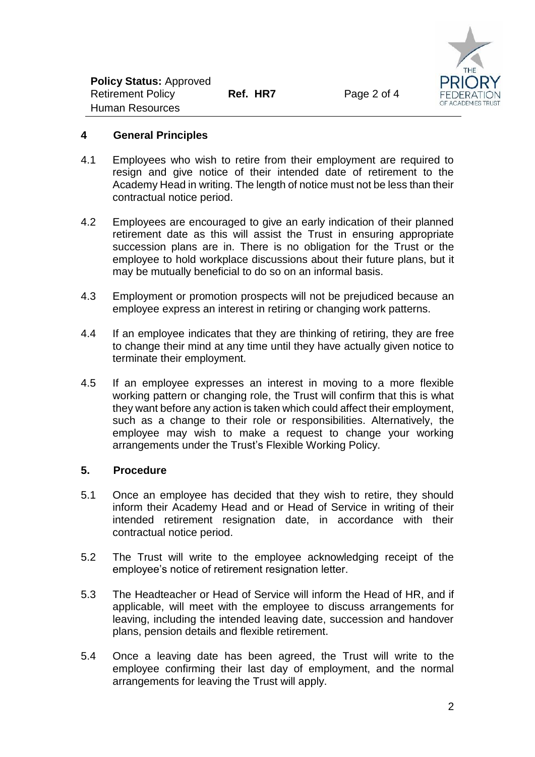

#### **4 General Principles**

- 4.1 Employees who wish to retire from their employment are required to resign and give notice of their intended date of retirement to the Academy Head in writing. The length of notice must not be less than their contractual notice period.
- 4.2 Employees are encouraged to give an early indication of their planned retirement date as this will assist the Trust in ensuring appropriate succession plans are in. There is no obligation for the Trust or the employee to hold workplace discussions about their future plans, but it may be mutually beneficial to do so on an informal basis.
- 4.3 Employment or promotion prospects will not be prejudiced because an employee express an interest in retiring or changing work patterns.
- 4.4 If an employee indicates that they are thinking of retiring, they are free to change their mind at any time until they have actually given notice to terminate their employment.
- 4.5 If an employee expresses an interest in moving to a more flexible working pattern or changing role, the Trust will confirm that this is what they want before any action is taken which could affect their employment, such as a change to their role or responsibilities. Alternatively, the employee may wish to make a request to change your working arrangements under the Trust's Flexible Working Policy.

#### **5. Procedure**

- 5.1 Once an employee has decided that they wish to retire, they should inform their Academy Head and or Head of Service in writing of their intended retirement resignation date, in accordance with their contractual notice period.
- 5.2 The Trust will write to the employee acknowledging receipt of the employee's notice of retirement resignation letter.
- 5.3 The Headteacher or Head of Service will inform the Head of HR, and if applicable, will meet with the employee to discuss arrangements for leaving, including the intended leaving date, succession and handover plans, pension details and flexible retirement.
- 5.4 Once a leaving date has been agreed, the Trust will write to the employee confirming their last day of employment, and the normal arrangements for leaving the Trust will apply.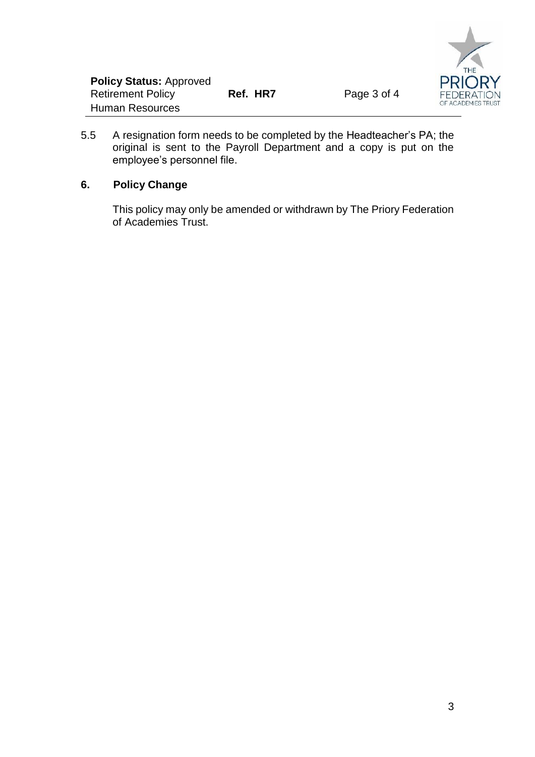

5.5 A resignation form needs to be completed by the Headteacher's PA; the original is sent to the Payroll Department and a copy is put on the employee's personnel file.

## **6. Policy Change**

This policy may only be amended or withdrawn by The Priory Federation of Academies Trust.